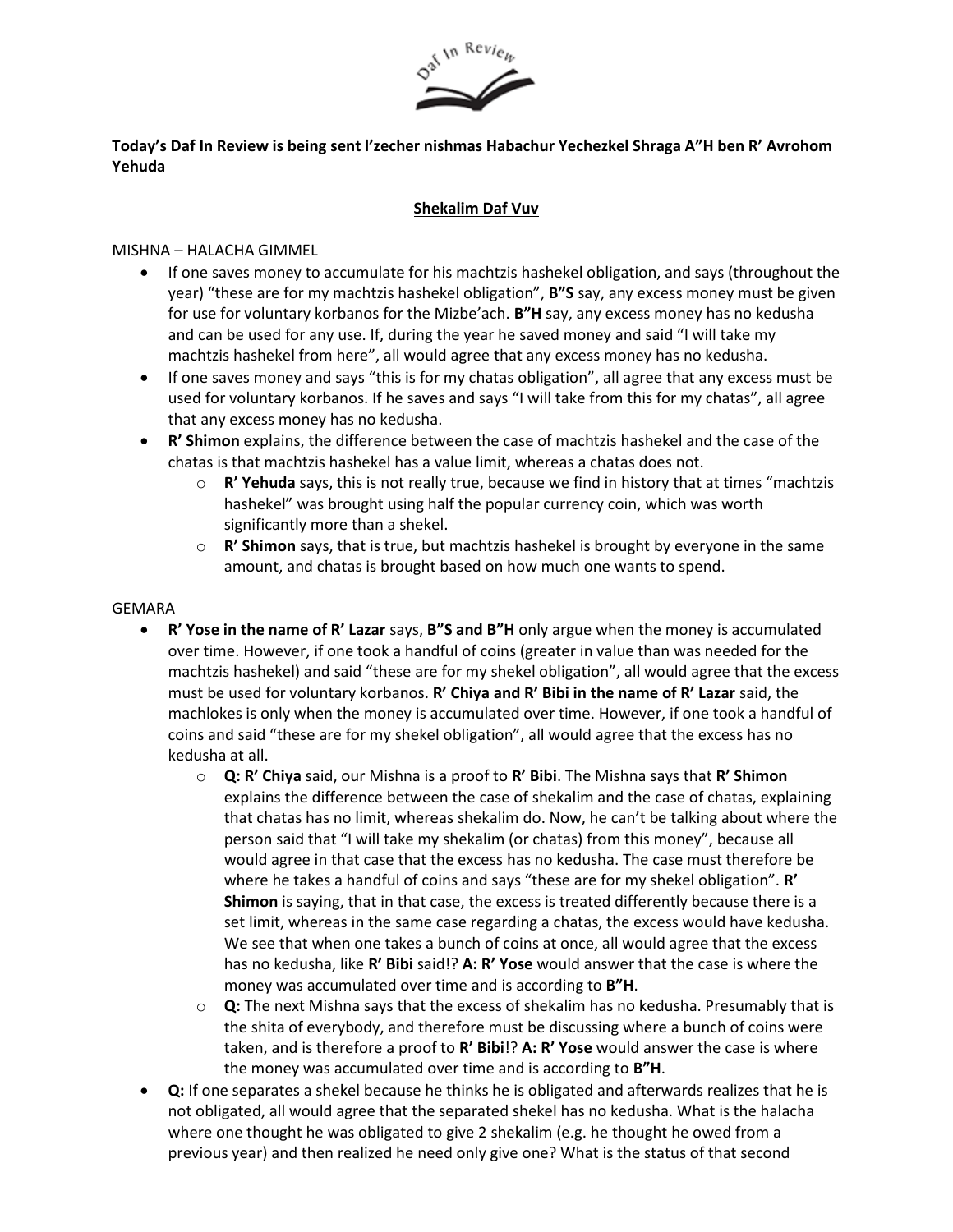

## **Today's Daf In Review is being sent l'zecher nishmas Habachur Yechezkel Shraga A"H ben R' Avrohom Yehuda**

### **Shekalim Daf Vuv**

### MISHNA – HALACHA GIMMEL

- If one saves money to accumulate for his machtzis hashekel obligation, and says (throughout the year) "these are for my machtzis hashekel obligation", **B"S** say, any excess money must be given for use for voluntary korbanos for the Mizbe'ach. **B"H** say, any excess money has no kedusha and can be used for any use. If, during the year he saved money and said "I will take my machtzis hashekel from here", all would agree that any excess money has no kedusha.
- If one saves money and says "this is for my chatas obligation", all agree that any excess must be used for voluntary korbanos. If he saves and says "I will take from this for my chatas", all agree that any excess money has no kedusha.
- **R' Shimon** explains, the difference between the case of machtzis hashekel and the case of the chatas is that machtzis hashekel has a value limit, whereas a chatas does not.
	- o **R' Yehuda** says, this is not really true, because we find in history that at times "machtzis hashekel" was brought using half the popular currency coin, which was worth significantly more than a shekel.
	- o **R' Shimon** says, that is true, but machtzis hashekel is brought by everyone in the same amount, and chatas is brought based on how much one wants to spend.

#### GEMARA

- **R' Yose in the name of R' Lazar** says, **B"S and B"H** only argue when the money is accumulated over time. However, if one took a handful of coins (greater in value than was needed for the machtzis hashekel) and said "these are for my shekel obligation", all would agree that the excess must be used for voluntary korbanos. **R' Chiya and R' Bibi in the name of R' Lazar** said, the machlokes is only when the money is accumulated over time. However, if one took a handful of coins and said "these are for my shekel obligation", all would agree that the excess has no kedusha at all.
	- o **Q: R' Chiya** said, our Mishna is a proof to **R' Bibi**. The Mishna says that **R' Shimon** explains the difference between the case of shekalim and the case of chatas, explaining that chatas has no limit, whereas shekalim do. Now, he can't be talking about where the person said that "I will take my shekalim (or chatas) from this money", because all would agree in that case that the excess has no kedusha. The case must therefore be where he takes a handful of coins and says "these are for my shekel obligation". **R' Shimon** is saying, that in that case, the excess is treated differently because there is a set limit, whereas in the same case regarding a chatas, the excess would have kedusha. We see that when one takes a bunch of coins at once, all would agree that the excess has no kedusha, like **R' Bibi** said!? **A: R' Yose** would answer that the case is where the money was accumulated over time and is according to **B"H**.
	- o **Q:** The next Mishna says that the excess of shekalim has no kedusha. Presumably that is the shita of everybody, and therefore must be discussing where a bunch of coins were taken, and is therefore a proof to **R' Bibi**!? **A: R' Yose** would answer the case is where the money was accumulated over time and is according to **B"H**.
- **Q:** If one separates a shekel because he thinks he is obligated and afterwards realizes that he is not obligated, all would agree that the separated shekel has no kedusha. What is the halacha where one thought he was obligated to give 2 shekalim (e.g. he thought he owed from a previous year) and then realized he need only give one? What is the status of that second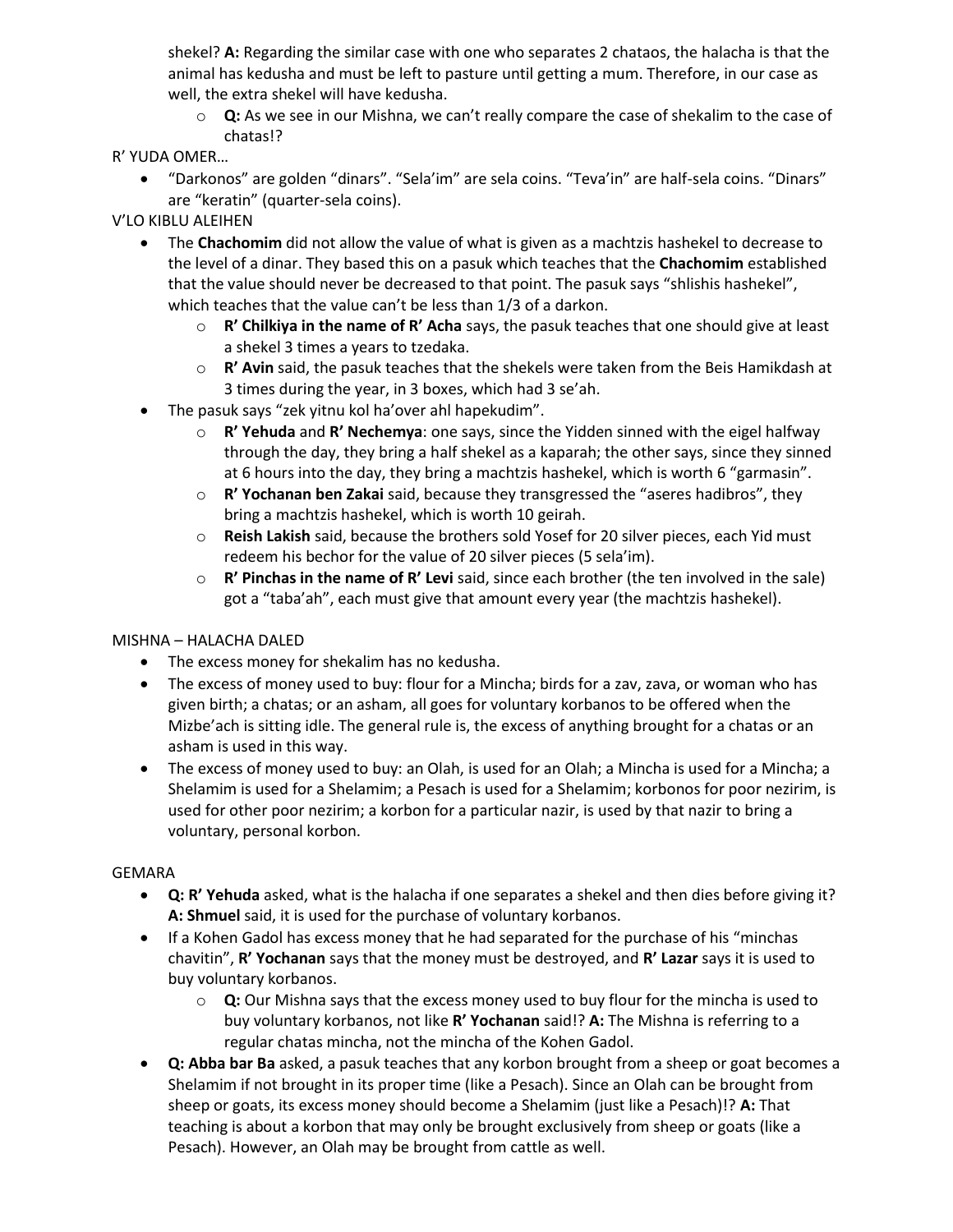shekel? **A:** Regarding the similar case with one who separates 2 chataos, the halacha is that the animal has kedusha and must be left to pasture until getting a mum. Therefore, in our case as well, the extra shekel will have kedusha.

o **Q:** As we see in our Mishna, we can't really compare the case of shekalim to the case of chatas!?

# R' YUDA OMER…

• "Darkonos" are golden "dinars". "Sela'im" are sela coins. "Teva'in" are half-sela coins. "Dinars" are "keratin" (quarter-sela coins).

V'LO KIBLU ALEIHEN

- The **Chachomim** did not allow the value of what is given as a machtzis hashekel to decrease to the level of a dinar. They based this on a pasuk which teaches that the **Chachomim** established that the value should never be decreased to that point. The pasuk says "shlishis hashekel", which teaches that the value can't be less than 1/3 of a darkon.
	- o **R' Chilkiya in the name of R' Acha** says, the pasuk teaches that one should give at least a shekel 3 times a years to tzedaka.
	- o **R' Avin** said, the pasuk teaches that the shekels were taken from the Beis Hamikdash at 3 times during the year, in 3 boxes, which had 3 se'ah.
- The pasuk says "zek yitnu kol ha'over ahl hapekudim".
	- o **R' Yehuda** and **R' Nechemya**: one says, since the Yidden sinned with the eigel halfway through the day, they bring a half shekel as a kaparah; the other says, since they sinned at 6 hours into the day, they bring a machtzis hashekel, which is worth 6 "garmasin".
	- o **R' Yochanan ben Zakai** said, because they transgressed the "aseres hadibros", they bring a machtzis hashekel, which is worth 10 geirah.
	- o **Reish Lakish** said, because the brothers sold Yosef for 20 silver pieces, each Yid must redeem his bechor for the value of 20 silver pieces (5 sela'im).
	- o **R' Pinchas in the name of R' Levi** said, since each brother (the ten involved in the sale) got a "taba'ah", each must give that amount every year (the machtzis hashekel).

## MISHNA – HALACHA DALED

- The excess money for shekalim has no kedusha.
- The excess of money used to buy: flour for a Mincha; birds for a zav, zava, or woman who has given birth; a chatas; or an asham, all goes for voluntary korbanos to be offered when the Mizbe'ach is sitting idle. The general rule is, the excess of anything brought for a chatas or an asham is used in this way.
- The excess of money used to buy: an Olah, is used for an Olah; a Mincha is used for a Mincha; a Shelamim is used for a Shelamim; a Pesach is used for a Shelamim; korbonos for poor nezirim, is used for other poor nezirim; a korbon for a particular nazir, is used by that nazir to bring a voluntary, personal korbon.

## GEMARA

- **Q: R' Yehuda** asked, what is the halacha if one separates a shekel and then dies before giving it? **A: Shmuel** said, it is used for the purchase of voluntary korbanos.
- If a Kohen Gadol has excess money that he had separated for the purchase of his "minchas" chavitin", **R' Yochanan** says that the money must be destroyed, and **R' Lazar** says it is used to buy voluntary korbanos.
	- o **Q:** Our Mishna says that the excess money used to buy flour for the mincha is used to buy voluntary korbanos, not like **R' Yochanan** said!? **A:** The Mishna is referring to a regular chatas mincha, not the mincha of the Kohen Gadol.
- **Q: Abba bar Ba** asked, a pasuk teaches that any korbon brought from a sheep or goat becomes a Shelamim if not brought in its proper time (like a Pesach). Since an Olah can be brought from sheep or goats, its excess money should become a Shelamim (just like a Pesach)!? **A:** That teaching is about a korbon that may only be brought exclusively from sheep or goats (like a Pesach). However, an Olah may be brought from cattle as well.